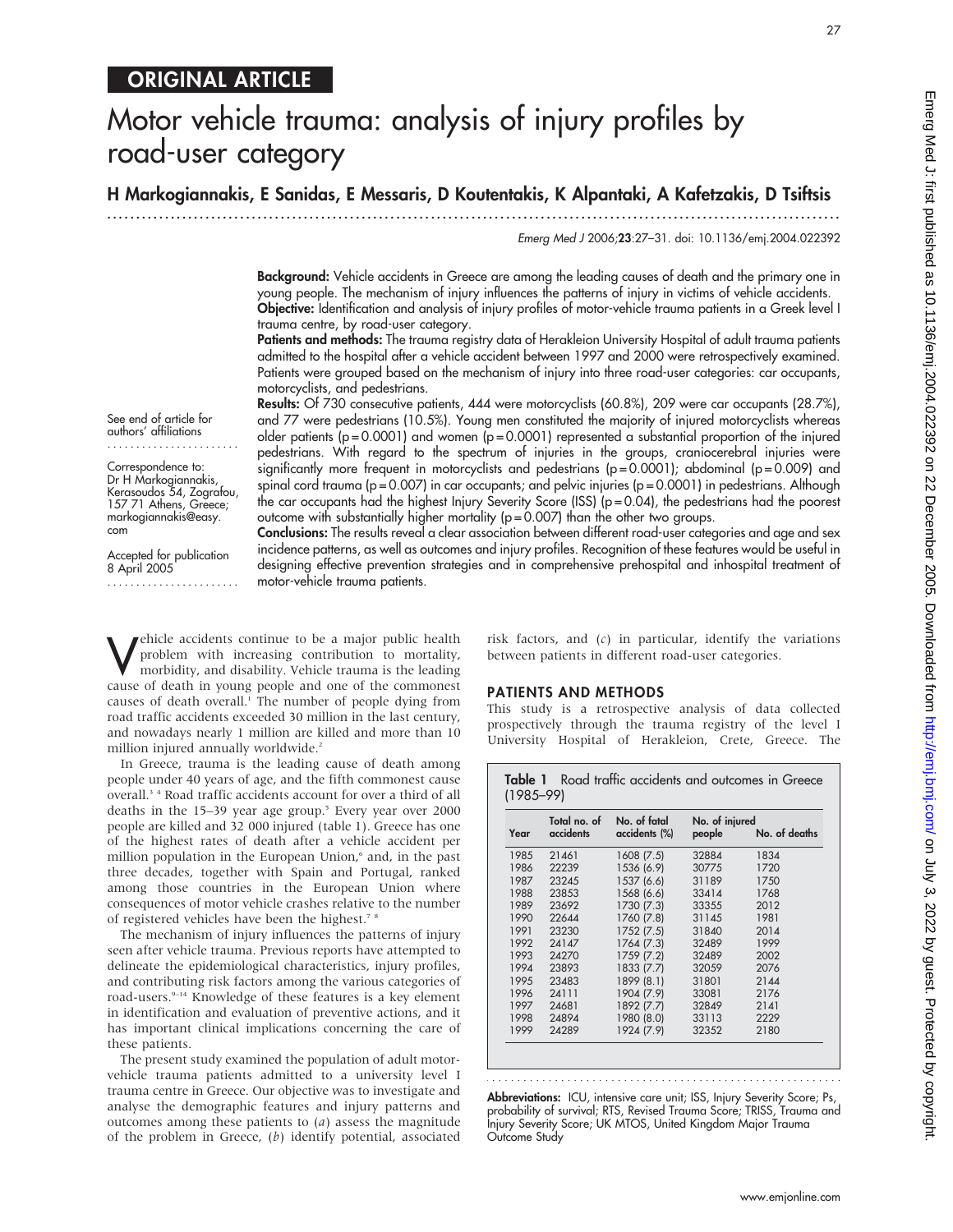# ORIGINAL ARTICLE

# Motor vehicle trauma: analysis of injury profiles by road-user category

# H Markogiannakis, E Sanidas, E Messaris, D Koutentakis, K Alpantaki, A Kafetzakis, D Tsiftsis

...............................................................................................................................

Emerg Med J 2006;23:27–31. doi: 10.1136/emj.2004.022392

27

Background: Vehicle accidents in Greece are among the leading causes of death and the primary one in young people. The mechanism of injury influences the patterns of injury in victims of vehicle accidents. Objective: Identification and analysis of injury profiles of motor-vehicle trauma patients in a Greek level I trauma centre, by road-user category.

Patients and methods: The trauma registry data of Herakleion University Hospital of adult trauma patients admitted to the hospital after a vehicle accident between 1997 and 2000 were retrospectively examined. Patients were grouped based on the mechanism of injury into three road-user categories: car occupants, motorcyclists, and pedestrians.

Results: Of 730 consecutive patients, 444 were motorcyclists (60.8%), 209 were car occupants (28.7%), and 77 were pedestrians (10.5%). Young men constituted the majority of injured motorcyclists whereas older patients (p=0.0001) and women (p=0.0001) represented a substantial proportion of the injured pedestrians. With regard to the spectrum of injuries in the groups, craniocerebral injuries were significantly more frequent in motorcyclists and pedestrians (p = 0.0001); abdominal (p = 0.009) and spinal cord trauma (p = 0.007) in car occupants; and pelvic injuries (p = 0.0001) in pedestrians. Although the car occupants had the highest Injury Severity Score (ISS) (p = 0.04), the pedestrians had the poorest outcome with substantially higher mortality (p = 0.007) than the other two groups.

See end of article for authors' affiliations .......................

Correspondence to: Dr H Markogiannakis, Kerasoudos 54, Zografou, 157 71 Athens, Greece; markogiannakis@easy. com

Accepted for publication 8 April 2005 ....................... Conclusions: The results reveal a clear association between different road-user categories and age and sex incidence patterns, as well as outcomes and injury profiles. Recognition of these features would be useful in designing effective prevention strategies and in comprehensive prehospital and inhospital treatment of motor-vehicle trauma patients.

Wehicle accidents continue to be a major public health<br>problem with increasing contribution to mortality,<br>morbidity, and disability. Vehicle trauma is the leading<br>cause of death in young people and one of the commonest problem with increasing contribution to mortality, morbidity, and disability. Vehicle trauma is the leading cause of death in young people and one of the commonest causes of death overall.<sup>1</sup> The number of people dying from road traffic accidents exceeded 30 million in the last century, and nowadays nearly 1 million are killed and more than 10 million injured annually worldwide.<sup>2</sup>

In Greece, trauma is the leading cause of death among people under 40 years of age, and the fifth commonest cause overall.3 4 Road traffic accidents account for over a third of all deaths in the 15-39 year age group.<sup>5</sup> Every year over 2000 people are killed and 32 000 injured (table 1). Greece has one of the highest rates of death after a vehicle accident per million population in the European Union,<sup>6</sup> and, in the past three decades, together with Spain and Portugal, ranked among those countries in the European Union where consequences of motor vehicle crashes relative to the number of registered vehicles have been the highest.<sup>7</sup>

The mechanism of injury influences the patterns of injury seen after vehicle trauma. Previous reports have attempted to delineate the epidemiological characteristics, injury profiles, and contributing risk factors among the various categories of road-users.<sup>9–14</sup> Knowledge of these features is a key element in identification and evaluation of preventive actions, and it has important clinical implications concerning the care of these patients.

The present study examined the population of adult motorvehicle trauma patients admitted to a university level I trauma centre in Greece. Our objective was to investigate and analyse the demographic features and injury patterns and outcomes among these patients to (a) assess the magnitude of the problem in Greece,  $(b)$  identify potential, associated risk factors, and  $(c)$  in particular, identify the variations between patients in different road-user categories.

# PATIENTS AND METHODS

This study is a retrospective analysis of data collected prospectively through the trauma registry of the level I University Hospital of Herakleion, Crete, Greece. The

|      | Total no. of | No. of fatal  | No. of injured |               |  |
|------|--------------|---------------|----------------|---------------|--|
| Year | accidents    | accidents (%) | people         | No. of deaths |  |
| 1985 | 21461        | 1608(7.5)     | 32884          | 1834          |  |
| 1986 | 22239        | 1536 (6.9)    | 30775          | 1720          |  |
| 1987 | 23245        | 1537 (6.6)    | 31189          | 1750          |  |
| 1988 | 23853        | 1568 (6.6)    | 33414          | 1768          |  |
| 1989 | 23692        | 1730 (7.3)    | 33355          | 2012          |  |
| 1990 | 22644        | 1760 (7.8)    | 31145          | 1981          |  |
| 1991 | 23230        | 1752 (7.5)    | 31840          | 2014          |  |
| 1992 | 24147        | 1764 (7.3)    | 32489          | 1999          |  |
| 1993 | 24270        | 1759 (7.2)    | 32489          | 2002          |  |
| 1994 | 23893        | 1833 (7.7)    | 32059          | 2076          |  |
| 1995 | 23483        | 1899 (8.1)    | 31801          | 2144          |  |
| 1996 | 24111        | 1904 (7.9)    | 33081          | 2176          |  |
| 1997 | 24681        | 1892 (7.7)    | 32849          | 2141          |  |
| 1998 | 24894        | 1980 (8.0)    | 33113          | 2229          |  |
| 1999 | 24289        | 1924 (7.9)    | 32352          | 2180          |  |

Abbreviations: ICU, intensive care unit; ISS, Injury Severity Score; Ps, probability of survival; RTS, Revised Trauma Score; TRISS, Trauma and Injury Severity Score; UK MTOS, United Kingdom Major Trauma Outcome Study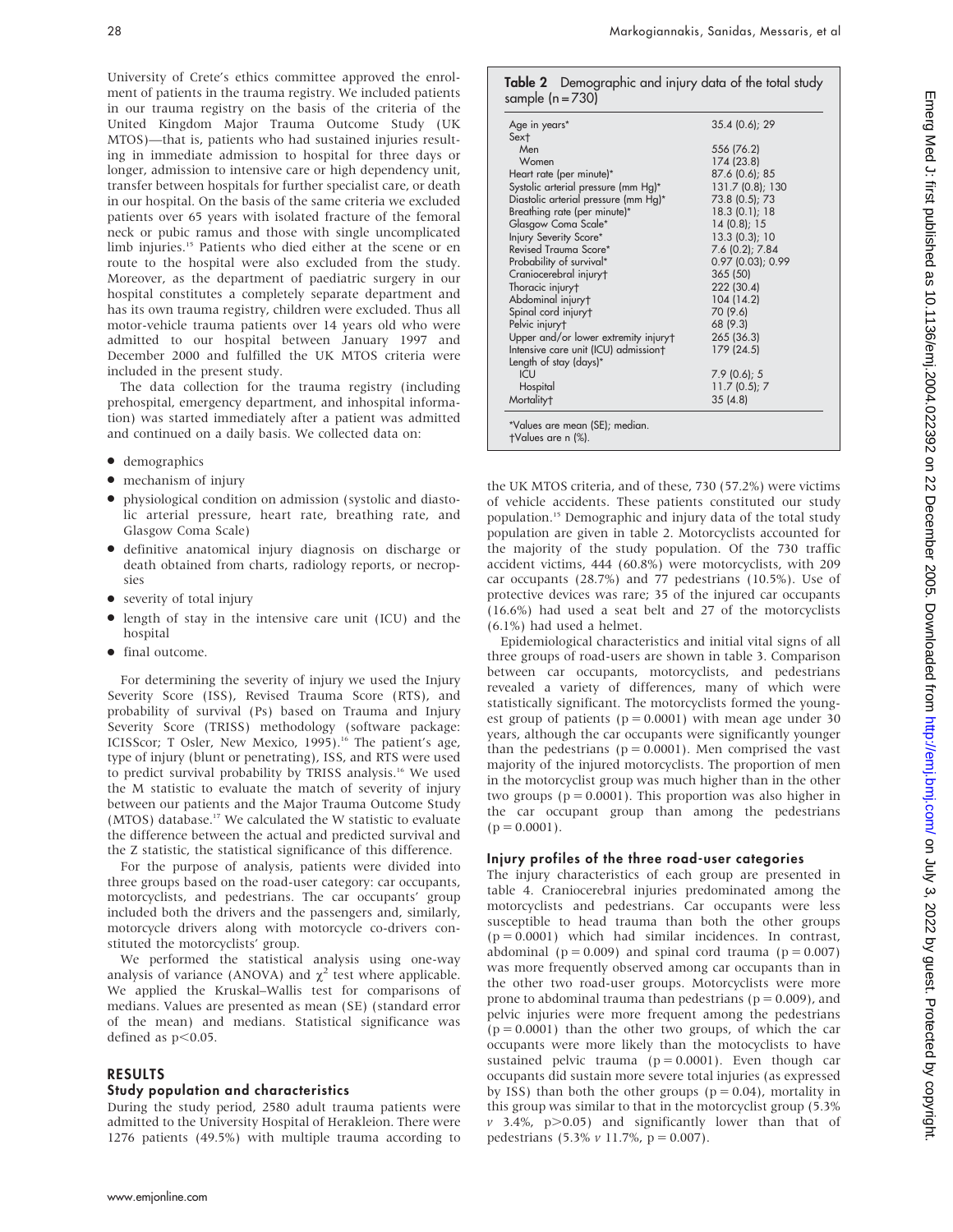University of Crete's ethics committee approved the enrolment of patients in the trauma registry. We included patients in our trauma registry on the basis of the criteria of the United Kingdom Major Trauma Outcome Study (UK MTOS)—that is, patients who had sustained injuries resulting in immediate admission to hospital for three days or longer, admission to intensive care or high dependency unit, transfer between hospitals for further specialist care, or death in our hospital. On the basis of the same criteria we excluded patients over 65 years with isolated fracture of the femoral neck or pubic ramus and those with single uncomplicated limb injuries.<sup>15</sup> Patients who died either at the scene or en route to the hospital were also excluded from the study. Moreover, as the department of paediatric surgery in our hospital constitutes a completely separate department and has its own trauma registry, children were excluded. Thus all motor-vehicle trauma patients over 14 years old who were admitted to our hospital between January 1997 and December 2000 and fulfilled the UK MTOS criteria were included in the present study.

The data collection for the trauma registry (including prehospital, emergency department, and inhospital information) was started immediately after a patient was admitted and continued on a daily basis. We collected data on:

- $\bullet$  demographics
- mechanism of injury
- $\bullet$  physiological condition on admission (systolic and diastolic arterial pressure, heart rate, breathing rate, and Glasgow Coma Scale)
- N definitive anatomical injury diagnosis on discharge or death obtained from charts, radiology reports, or necropsies
- severity of total injury
- length of stay in the intensive care unit (ICU) and the hospital
- $\bullet$  final outcome.

For determining the severity of injury we used the Injury Severity Score (ISS), Revised Trauma Score (RTS), and probability of survival (Ps) based on Trauma and Injury Severity Score (TRISS) methodology (software package: ICISScor; T Osler, New Mexico, 1995).<sup>16</sup> The patient's age, type of injury (blunt or penetrating), ISS, and RTS were used to predict survival probability by TRISS analysis.<sup>16</sup> We used the M statistic to evaluate the match of severity of injury between our patients and the Major Trauma Outcome Study (MTOS) database.<sup>17</sup> We calculated the W statistic to evaluate the difference between the actual and predicted survival and the Z statistic, the statistical significance of this difference.

For the purpose of analysis, patients were divided into three groups based on the road-user category: car occupants, motorcyclists, and pedestrians. The car occupants' group included both the drivers and the passengers and, similarly, motorcycle drivers along with motorcycle co-drivers constituted the motorcyclists' group.

We performed the statistical analysis using one-way analysis of variance (ANOVA) and  $\chi^2$  test where applicable. We applied the Kruskal–Wallis test for comparisons of medians. Values are presented as mean (SE) (standard error of the mean) and medians. Statistical significance was defined as  $p<0.05$ .

#### RESULTS

#### Study population and characteristics

During the study period, 2580 adult trauma patients were admitted to the University Hospital of Herakleion. There were 1276 patients (49.5%) with multiple trauma according to Table 2 Demographic and injury data of the total study sample  $(n = 730)$ 

| Age in years*                                        | 35.4 (0.6); 29    |
|------------------------------------------------------|-------------------|
| Sext                                                 |                   |
| Men                                                  | 556 (76.2)        |
| Women                                                | 174 (23.8)        |
| Heart rate (per minute)*                             | 87.6 (0.6); 85    |
| Systolic arterial pressure (mm Hg)*                  | 131.7 (0.8); 130  |
| Diastolic arterial pressure (mm Hg)*                 | 73.8 (0.5); 73    |
| Breathing rate (per minute)*                         | 18.3 (0.1); 18    |
| Glasgow Coma Scale*                                  | $14(0.8)$ ; 15    |
| Injury Severity Score*                               | 13.3 (0.3); 10    |
| Revised Trauma Score*                                | 7.6 (0.2); 7.84   |
| Probability of survival*                             | 0.97 (0.03); 0.99 |
| Craniocerebral injury†                               | 365 (50)          |
| Thoracic injury†                                     | 222 (30.4)        |
| Abdominal injuryt                                    | 104 (14.2)        |
| Spinal cord injuryt                                  | 70 (9.6)          |
| Pelvic injuryt                                       | 68 (9.3)          |
| Upper and/or lower extremity injuryt                 | 265 (36.3)        |
| Intensive care unit (ICU) admission†                 | 179 (24.5)        |
| Length of stay (days)*                               |                   |
| ICU                                                  | $7.9(0.6)$ ; 5    |
| Hospital                                             | 11.7(0.5); 7      |
| Mortality <sup>+</sup>                               | 35(4.8)           |
| *Values are mean (SE); median.<br>†Values are n (%). |                   |

the UK MTOS criteria, and of these, 730 (57.2%) were victims of vehicle accidents. These patients constituted our study population.15 Demographic and injury data of the total study population are given in table 2. Motorcyclists accounted for the majority of the study population. Of the 730 traffic accident victims, 444 (60.8%) were motorcyclists, with 209 car occupants (28.7%) and 77 pedestrians (10.5%). Use of protective devices was rare; 35 of the injured car occupants (16.6%) had used a seat belt and 27 of the motorcyclists (6.1%) had used a helmet.

Epidemiological characteristics and initial vital signs of all three groups of road-users are shown in table 3. Comparison between car occupants, motorcyclists, and pedestrians revealed a variety of differences, many of which were statistically significant. The motorcyclists formed the youngest group of patients ( $p = 0.0001$ ) with mean age under 30 years, although the car occupants were significantly younger than the pedestrians ( $p = 0.0001$ ). Men comprised the vast majority of the injured motorcyclists. The proportion of men in the motorcyclist group was much higher than in the other two groups ( $p = 0.0001$ ). This proportion was also higher in the car occupant group than among the pedestrians  $(p = 0.0001)$ .

# Injury profiles of the three road-user categories

The injury characteristics of each group are presented in table 4. Craniocerebral injuries predominated among the motorcyclists and pedestrians. Car occupants were less susceptible to head trauma than both the other groups  $(p = 0.0001)$  which had similar incidences. In contrast, abdominal ( $p = 0.009$ ) and spinal cord trauma ( $p = 0.007$ ) was more frequently observed among car occupants than in the other two road-user groups. Motorcyclists were more prone to abdominal trauma than pedestrians ( $p = 0.009$ ), and pelvic injuries were more frequent among the pedestrians  $(p = 0.0001)$  than the other two groups, of which the car occupants were more likely than the motocyclists to have sustained pelvic trauma ( $p = 0.0001$ ). Even though car occupants did sustain more severe total injuries (as expressed by ISS) than both the other groups ( $p = 0.04$ ), mortality in this group was similar to that in the motorcyclist group (5.3%  $v$  3.4%,  $p > 0.05$ ) and significantly lower than that of pedestrians (5.3%  $v$  11.7%, p = 0.007).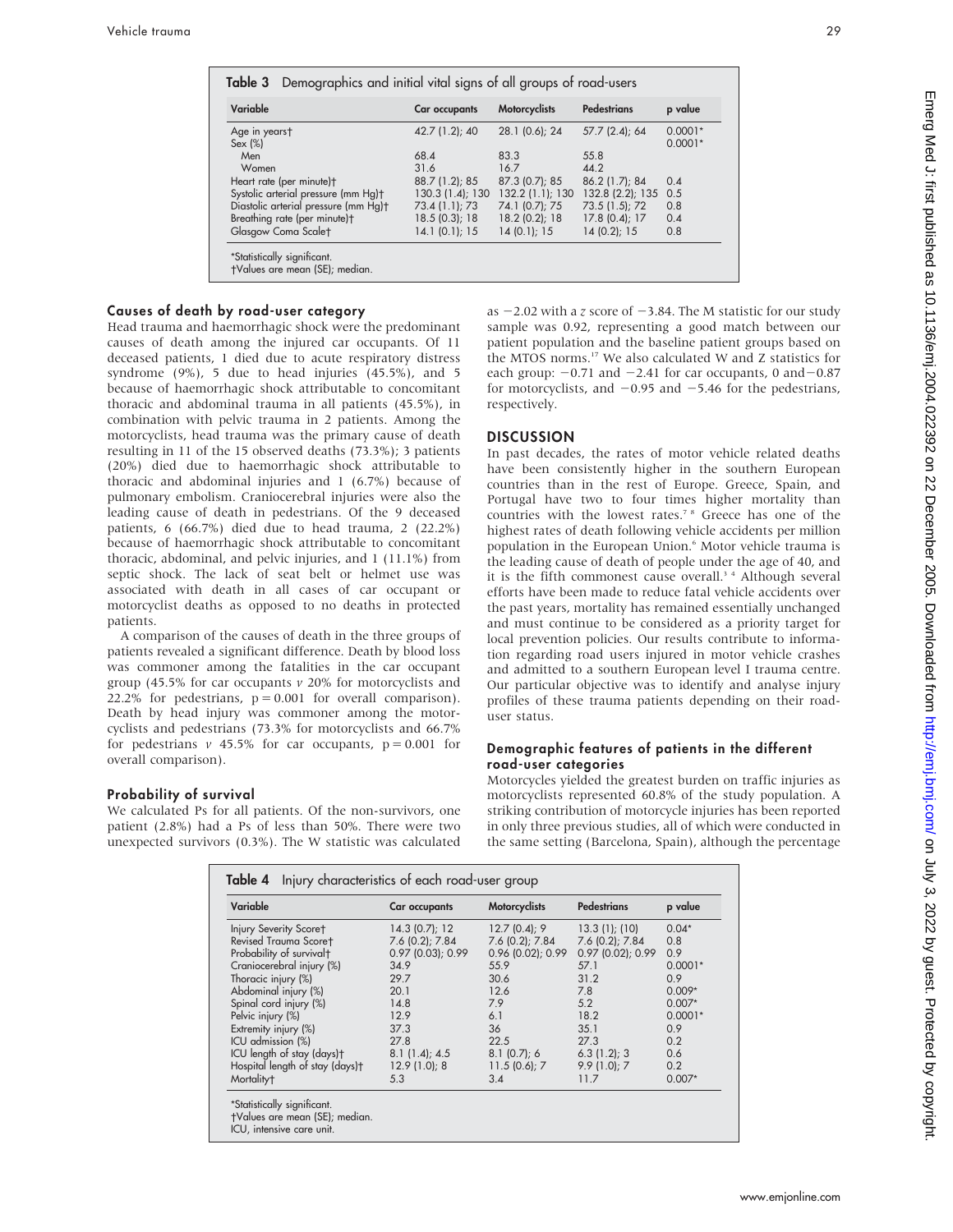| Table 3 Demographics and initial vital signs of all groups of road-users |                      |                      |                    |                        |  |  |  |
|--------------------------------------------------------------------------|----------------------|----------------------|--------------------|------------------------|--|--|--|
| Variable                                                                 | <b>Car occupants</b> | <b>Motorcyclists</b> | <b>Pedestrians</b> | p value                |  |  |  |
| Age in yearst<br>Sex (%)                                                 | 42.7 (1.2); 40       | 28.1 (0.6); 24       | 57.7 (2.4); 64     | $0.0001*$<br>$0.0001*$ |  |  |  |
| Men                                                                      | 68.4                 | 83.3                 | 55.8               |                        |  |  |  |
| Women                                                                    | 31.6                 | 16.7                 | 44.2               |                        |  |  |  |
| Heart rate (per minute)+                                                 | 88.7 (1.2); 85       | $87.3$ (0.7); 85     | 86.2 (1.7); 84     | 0.4                    |  |  |  |
| Systolic arterial pressure (mm Hg)+                                      | 130.3 (1.4); 130     | 132.2 (1.1); 130     | 132.8 (2.2); 135   | 0.5                    |  |  |  |
| Diastolic arterial pressure (mm Hg)+                                     | 73.4 (1.1); 73       | 74.1 (0.7); 75       | 73.5 (1.5); 72     | 0.8                    |  |  |  |
| Breathing rate (per minute)+                                             | $18.5(0.3)$ ; 18     | $18.2(0.2)$ ; 18     | 17.8(0.4): 17      | 0.4                    |  |  |  |
| Glasgow Coma Scalet                                                      | $14.1(0.1)$ ; 15     | $14(0.1)$ ; 15       | 14(0.2): 15        | 0.8                    |  |  |  |
| *Statistically significant.<br>†Values are mean (SE); median.            |                      |                      |                    |                        |  |  |  |

# Causes of death by road-user category

Head trauma and haemorrhagic shock were the predominant causes of death among the injured car occupants. Of 11 deceased patients, 1 died due to acute respiratory distress syndrome (9%), 5 due to head injuries (45.5%), and 5 because of haemorrhagic shock attributable to concomitant thoracic and abdominal trauma in all patients (45.5%), in combination with pelvic trauma in 2 patients. Among the motorcyclists, head trauma was the primary cause of death resulting in 11 of the 15 observed deaths (73.3%); 3 patients (20%) died due to haemorrhagic shock attributable to thoracic and abdominal injuries and 1 (6.7%) because of pulmonary embolism. Craniocerebral injuries were also the leading cause of death in pedestrians. Of the 9 deceased patients, 6 (66.7%) died due to head trauma, 2 (22.2%) because of haemorrhagic shock attributable to concomitant thoracic, abdominal, and pelvic injuries, and 1 (11.1%) from septic shock. The lack of seat belt or helmet use was associated with death in all cases of car occupant or motorcyclist deaths as opposed to no deaths in protected patients.

A comparison of the causes of death in the three groups of patients revealed a significant difference. Death by blood loss was commoner among the fatalities in the car occupant group (45.5% for car occupants  $v$  20% for motorcyclists and 22.2% for pedestrians,  $p = 0.001$  for overall comparison). Death by head injury was commoner among the motorcyclists and pedestrians (73.3% for motorcyclists and 66.7% for pedestrians  $v$  45.5% for car occupants,  $p = 0.001$  for overall comparison).

# Probability of survival

We calculated Ps for all patients. Of the non-survivors, one patient (2.8%) had a Ps of less than 50%. There were two unexpected survivors (0.3%). The W statistic was calculated

as  $-2.02$  with a z score of  $-3.84$ . The M statistic for our study sample was 0.92, representing a good match between our patient population and the baseline patient groups based on the MTOS norms.17 We also calculated W and Z statistics for each group:  $-0.71$  and  $-2.41$  for car occupants, 0 and  $-0.87$ for motorcyclists, and  $-0.95$  and  $-5.46$  for the pedestrians, respectively.

# **DISCUSSION**

In past decades, the rates of motor vehicle related deaths have been consistently higher in the southern European countries than in the rest of Europe. Greece, Spain, and Portugal have two to four times higher mortality than countries with the lowest rates.<sup>7</sup> <sup>8</sup> Greece has one of the highest rates of death following vehicle accidents per million population in the European Union.<sup>6</sup> Motor vehicle trauma is the leading cause of death of people under the age of 40, and it is the fifth commonest cause overall.<sup>34</sup> Although several efforts have been made to reduce fatal vehicle accidents over the past years, mortality has remained essentially unchanged and must continue to be considered as a priority target for local prevention policies. Our results contribute to information regarding road users injured in motor vehicle crashes and admitted to a southern European level I trauma centre. Our particular objective was to identify and analyse injury profiles of these trauma patients depending on their roaduser status.

# Demographic features of patients in the different road-user categories

Motorcycles yielded the greatest burden on traffic injuries as motorcyclists represented 60.8% of the study population. A striking contribution of motorcycle injuries has been reported in only three previous studies, all of which were conducted in the same setting (Barcelona, Spain), although the percentage

| Variable                        | Car occupants       | <b>Motorcyclists</b> | <b>Pedestrians</b>  | p value   |
|---------------------------------|---------------------|----------------------|---------------------|-----------|
| Injury Severity Scoret          | $14.3(0.7)$ ; 12    | 12.7(0.4): 9         | $13.3(1)$ ; (10)    | $0.04*$   |
| Revised Trauma Scoret           | $7.6$ (0.2); $7.84$ | 7.6 (0.2); 7.84      | 7.6 (0.2); 7.84     | 0.8       |
| Probability of survivalt        | $0.97$ (0.03); 0.99 | 0.96 (0.02); 0.99    | $0.97$ (0.02); 0.99 | 0.9       |
| Craniocerebral injury (%)       | 34.9                | 55.9                 | 57.1                | $0.0001*$ |
| Thoracic injury (%)             | 29.7                | 30.6                 | 31.2                | 0.9       |
| Abdominal injury (%)            | 20.1                | 12.6                 | 7.8                 | $0.009*$  |
| Spinal cord injury (%)          | 14.8                | 7.9                  | 5.2                 | $0.007*$  |
| Pelvic injury (%)               | 12.9                | 6.1                  | 18.2                | $0.0001*$ |
| Extremity injury (%)            | 37.3                | 36                   | 35.1                | 0.9       |
| ICU admission (%)               | 27.8                | 22.5                 | 27.3                | 0.2       |
| ICU length of stay (days)+      | $8.1(1.4)$ ; 4.5    | $8.1(0.7)$ ; 6       | $6.3(1.2):$ 3       | 0.6       |
| Hospital length of stay (days)+ | 12.9(1.0); 8        | $11.5(0.6)$ ; 7      | 9.9(1.0): 7         | 0.2       |
| Mortality <sup>+</sup>          | 5.3                 | 3.4                  | 11.7                | $0.007*$  |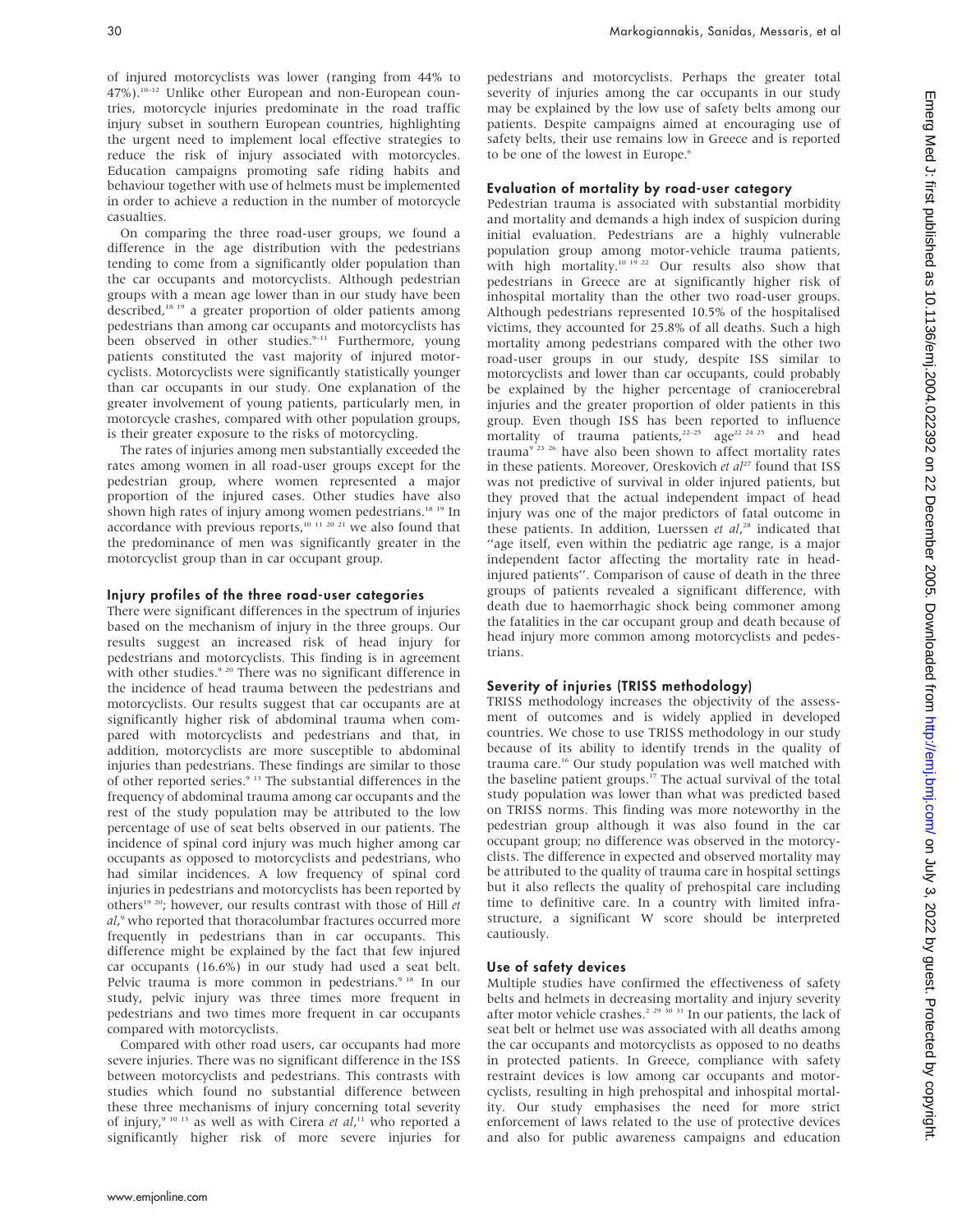of injured motorcyclists was lower (ranging from 44% to 47%).10–12 Unlike other European and non-European countries, motorcycle injuries predominate in the road traffic injury subset in southern European countries, highlighting the urgent need to implement local effective strategies to reduce the risk of injury associated with motorcycles. Education campaigns promoting safe riding habits and behaviour together with use of helmets must be implemented in order to achieve a reduction in the number of motorcycle casualties.

On comparing the three road-user groups, we found a difference in the age distribution with the pedestrians tending to come from a significantly older population than the car occupants and motorcyclists. Although pedestrian groups with a mean age lower than in our study have been described,<sup>18 19</sup> a greater proportion of older patients among pedestrians than among car occupants and motorcyclists has been observed in other studies.<sup>9-11</sup> Furthermore, young patients constituted the vast majority of injured motorcyclists. Motorcyclists were significantly statistically younger than car occupants in our study. One explanation of the greater involvement of young patients, particularly men, in motorcycle crashes, compared with other population groups, is their greater exposure to the risks of motorcycling.

The rates of injuries among men substantially exceeded the rates among women in all road-user groups except for the pedestrian group, where women represented a major proportion of the injured cases. Other studies have also shown high rates of injury among women pedestrians.<sup>18</sup> <sup>19</sup> In accordance with previous reports,<sup>10 11 20 21</sup> we also found that the predominance of men was significantly greater in the motorcyclist group than in car occupant group.

#### Injury profiles of the three road-user categories

There were significant differences in the spectrum of injuries based on the mechanism of injury in the three groups. Our results suggest an increased risk of head injury for pedestrians and motorcyclists. This finding is in agreement with other studies.<sup>9 20</sup> There was no significant difference in the incidence of head trauma between the pedestrians and motorcyclists. Our results suggest that car occupants are at significantly higher risk of abdominal trauma when compared with motorcyclists and pedestrians and that, in addition, motorcyclists are more susceptible to abdominal injuries than pedestrians. These findings are similar to those of other reported series.<sup>9 13</sup> The substantial differences in the frequency of abdominal trauma among car occupants and the rest of the study population may be attributed to the low percentage of use of seat belts observed in our patients. The incidence of spinal cord injury was much higher among car occupants as opposed to motorcyclists and pedestrians, who had similar incidences. A low frequency of spinal cord injuries in pedestrians and motorcyclists has been reported by others<sup>19 20</sup>; however, our results contrast with those of Hill et al,<sup>9</sup> who reported that thoracolumbar fractures occurred more frequently in pedestrians than in car occupants. This difference might be explained by the fact that few injured car occupants (16.6%) in our study had used a seat belt. Pelvic trauma is more common in pedestrians.<sup>9 18</sup> In our study, pelvic injury was three times more frequent in pedestrians and two times more frequent in car occupants compared with motorcyclists.

Compared with other road users, car occupants had more severe injuries. There was no significant difference in the ISS between motorcyclists and pedestrians. This contrasts with studies which found no substantial difference between these three mechanisms of injury concerning total severity of injury,<sup>9 10 13</sup> as well as with Cirera et  $al$ ,<sup>11</sup> who reported a significantly higher risk of more severe injuries for pedestrians and motorcyclists. Perhaps the greater total severity of injuries among the car occupants in our study may be explained by the low use of safety belts among our patients. Despite campaigns aimed at encouraging use of safety belts, their use remains low in Greece and is reported to be one of the lowest in Europe.<sup>6</sup>

### Evaluation of mortality by road-user category

Pedestrian trauma is associated with substantial morbidity and mortality and demands a high index of suspicion during initial evaluation. Pedestrians are a highly vulnerable population group among motor-vehicle trauma patients, with high mortality.<sup>10 19</sup><sup>22</sup> Our results also show that pedestrians in Greece are at significantly higher risk of inhospital mortality than the other two road-user groups. Although pedestrians represented 10.5% of the hospitalised victims, they accounted for 25.8% of all deaths. Such a high mortality among pedestrians compared with the other two road-user groups in our study, despite ISS similar to motorcyclists and lower than car occupants, could probably be explained by the higher percentage of craniocerebral injuries and the greater proportion of older patients in this group. Even though ISS has been reported to influence mortality of trauma patients,<sup>22-25</sup> age<sup>22 24 25</sup> and head trauma<sup>9</sup><sup>23</sup> <sup>26</sup> have also been shown to affect mortality rates in these patients. Moreover, Oreskovich et  $al^{27}$  found that ISS was not predictive of survival in older injured patients, but they proved that the actual independent impact of head injury was one of the major predictors of fatal outcome in these patients. In addition, Luerssen et al,<sup>28</sup> indicated that ''age itself, even within the pediatric age range, is a major independent factor affecting the mortality rate in headinjured patients''. Comparison of cause of death in the three groups of patients revealed a significant difference, with death due to haemorrhagic shock being commoner among the fatalities in the car occupant group and death because of head injury more common among motorcyclists and pedestrians.

# Severity of injuries (TRISS methodology)

TRISS methodology increases the objectivity of the assessment of outcomes and is widely applied in developed countries. We chose to use TRISS methodology in our study because of its ability to identify trends in the quality of trauma care.16 Our study population was well matched with the baseline patient groups.<sup>17</sup> The actual survival of the total study population was lower than what was predicted based on TRISS norms. This finding was more noteworthy in the pedestrian group although it was also found in the car occupant group; no difference was observed in the motorcyclists. The difference in expected and observed mortality may be attributed to the quality of trauma care in hospital settings but it also reflects the quality of prehospital care including time to definitive care. In a country with limited infrastructure, a significant W score should be interpreted cautiously.

#### Use of safety devices

Multiple studies have confirmed the effectiveness of safety belts and helmets in decreasing mortality and injury severity after motor vehicle crashes.<sup>2 29 30 31</sup> In our patients, the lack of seat belt or helmet use was associated with all deaths among the car occupants and motorcyclists as opposed to no deaths in protected patients. In Greece, compliance with safety restraint devices is low among car occupants and motorcyclists, resulting in high prehospital and inhospital mortality. Our study emphasises the need for more strict enforcement of laws related to the use of protective devices and also for public awareness campaigns and education